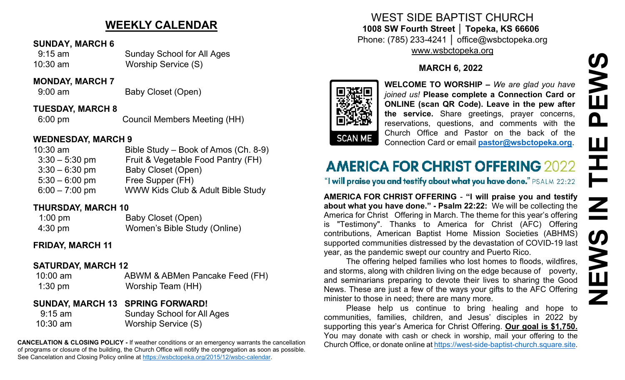## **WEEKLY CALENDAR**

#### **SUNDAY, MARCH 6**

 9:15 am Sunday School for All Ages 10:30 am Worship Service (S)

#### **MONDAY, MARCH 7**

9:00 am Baby Closet (Open)

#### **TUESDAY, MARCH 8**

6:00 pm Council Members Meeting (HH)

### **WEDNESDAY, MARCH 9**

| $10:30$ am       | Bible Study – Book of Amos (Ch. 8-9) |
|------------------|--------------------------------------|
| $3:30 - 5:30$ pm | Fruit & Vegetable Food Pantry (FH)   |
| $3:30 - 6:30$ pm | Baby Closet (Open)                   |
| $5:30 - 6:00$ pm | Free Supper (FH)                     |
| $6:00 - 7:00$ pm | WWW Kids Club & Adult Bible Study    |

### **THURSDAY, MARCH 10**

| $1:00$ pm         | Baby Closet (Open)           |
|-------------------|------------------------------|
| $4:30 \text{ pm}$ | Women's Bible Study (Online) |

## **FRIDAY, MARCH 11**

## **SATURDAY, MARCH 12**

| $10:00$ am | ABWM & ABMen Pancake Feed (FH) |
|------------|--------------------------------|
| $1:30$ pm  | Worship Team (HH)              |

## **SUNDAY, MARCH 13 SPRING FORWARD!**

 9:15 am Sunday School for All Ages 10:30 am Worship Service (S)

**CANCELATION & CLOSING POLICY -** If weather conditions or an emergency warrants the cancellation of programs or closure of the building, the Church Office will notify the congregation as soon as possible. See Cancelation and Closing Policy online at [https://wsbctopeka.org/2015/12/wsbc-calendar.](https://wsbctopeka.org/2015/12/wsbc-calendar)

## WEST SIDE BAPTIST CHURCH **1008 SW Fourth Street │ Topeka, KS 66606** Phone: (785) 233-4241 │ office@wsbctopeka.org [www.wsbctopeka.org](http://www.wsbctopeka.org/)

## **MARCH 6, 2022**



**WELCOME TO WORSHIP –** *We are glad you have joined us!* **Please complete a Connection Card or ONLINE (scan QR Code). Leave in the pew after the service.** Share greetings, prayer concerns, reservations, questions, and comments with the Church Office and Pastor on the back of the Connection Card or email **[pastor@wsbctopeka.org](mailto:pastor@wsbctopeka.org)**.

# **AMERICA FOR CHRIST OFFERING 2022**

"I will praise you and testify about what you have done." PSALM 22:22

**AMERICA FOR CHRIST OFFERING** - **"I will praise you and testify about what you have done." - Psalm 22:22:** We will be collecting the America for Christ Offering in March. The theme for this year's offering is "Testimony". Thanks to America for Christ (AFC) Offering contributions, American Baptist Home Mission Societies (ABHMS) supported communities distressed by the devastation of COVID-19 last year, as the pandemic swept our country and Puerto Rico.

The offering helped families who lost homes to floods, wildfires, and storms, along with children living on the edge because of poverty, and seminarians preparing to devote their lives to sharing the Good News. These are just a few of the ways your gifts to the AFC Offering minister to those in need; there are many more.

Please help us continue to bring healing and hope to communities, families, children, and Jesus' disciples in 2022 by supporting this year's America for Christ Offering. **Our goal is \$1,750.**  You may donate with cash or check in worship, mail your offering to the Church Office, or donate online at [https://west-side-baptist-church.square.site.](https://west-side-baptist-church.square.site/)